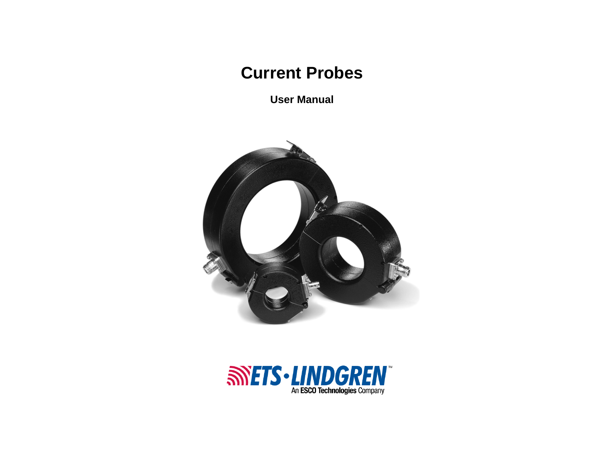# **Current Probes**

**User Manual** 



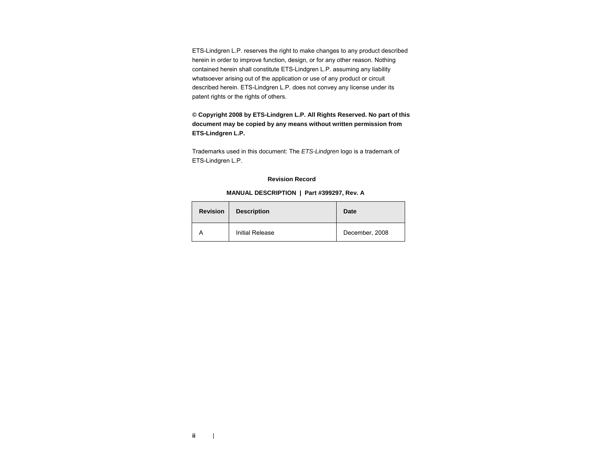ETS-Lindgren L.P. reserves the right to make changes to any product described herein in order to improve function, design, or for any other reason. Nothing contained herein shall constitute ETS-Lindgren L.P. assuming any liability whatsoever arising out of the application or use of any product or circuit described herein. ETS-Lindgren L.P. does not convey any license under its patent rights or the rights of others.

**© Copyright 2008 by ETS-Lindgren L.P. All Rights Reserved. No part of this document may be copied by any means without written permission from ETS-Lindgren L.P.** 

Trademarks used in this document: The *ETS-Lindgren* logo is a trademark of ETS-Lindgren L.P.

#### **Revision Record**

#### **MANUAL DESCRIPTION | Part #399297, Rev. A**

| <b>Revision</b> | <b>Description</b> | Date           |
|-----------------|--------------------|----------------|
|                 | Initial Release    | December, 2008 |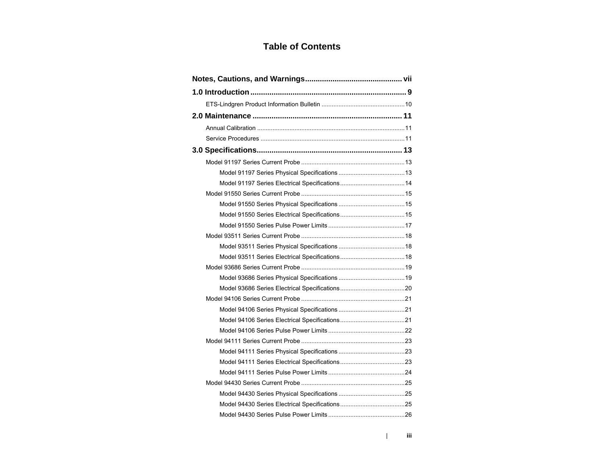#### **Table of Contents**

| **iii**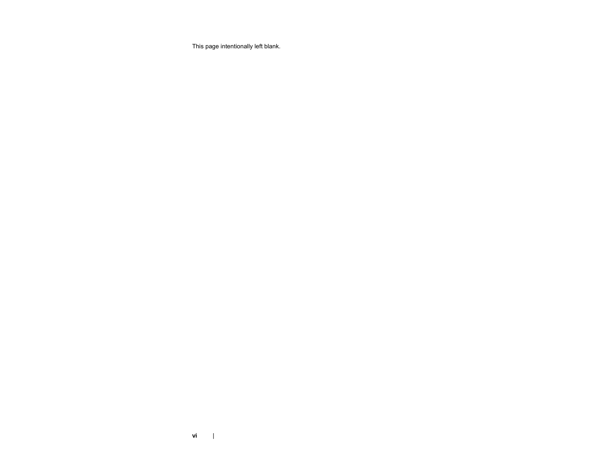This page intentionally left blank.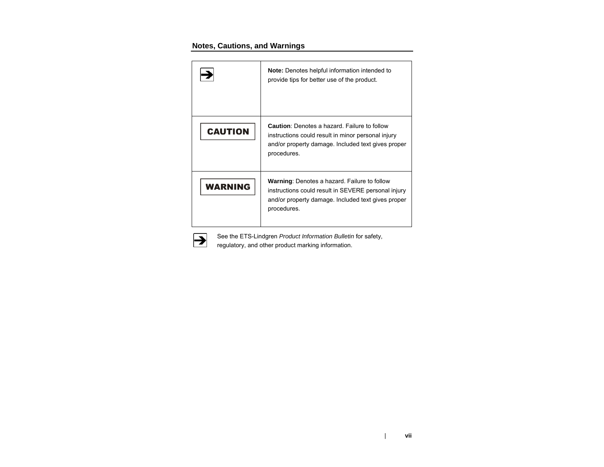## **Notes, Cautions, and Warnings**

|                | <b>Note:</b> Denotes helpful information intended to<br>provide tips for better use of the product.                                                                             |
|----------------|---------------------------------------------------------------------------------------------------------------------------------------------------------------------------------|
| <b>CAUTION</b> | <b>Caution:</b> Denotes a hazard. Failure to follow<br>instructions could result in minor personal injury<br>and/or property damage. Included text gives proper<br>procedures.  |
| <b>WARNING</b> | <b>Warning:</b> Denotes a hazard. Failure to follow<br>instructions could result in SEVERE personal injury<br>and/or property damage. Included text gives proper<br>procedures. |



See the ETS-Lindgren *Product Information Bulletin* for safety, regulatory, and other product marking information.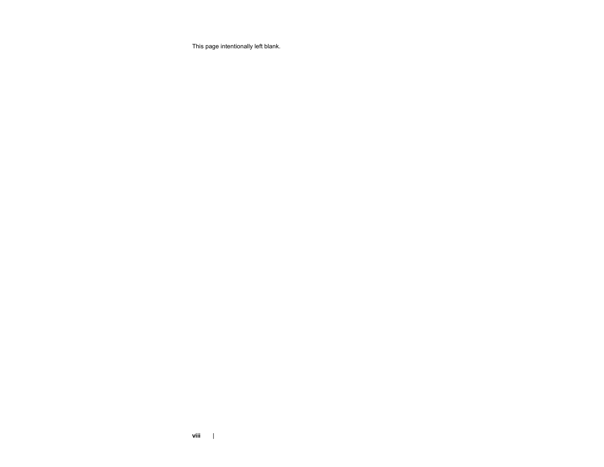This page intentionally left blank.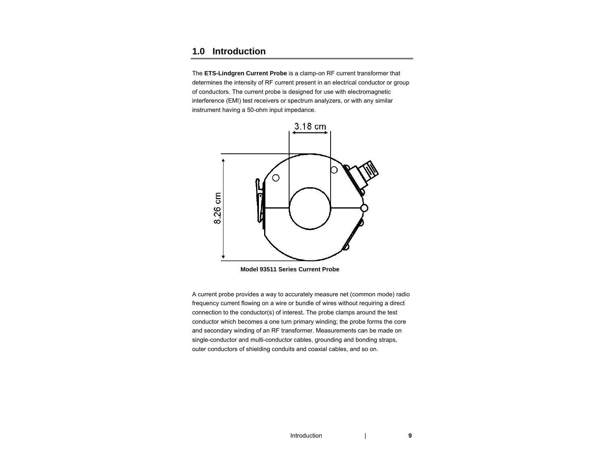## **1.0 Introduction**

The **ETS-Lindgren Current Probe** is a clamp-on RF current transformer that determines the intensity of RF current present in an electrical conductor or group of conductors. The current probe is designed for use with electromagnetic interference (EMI) test receivers or spectrum analyzers, or with any similar instrument having a 50-ohm input impedance.



**Model 93511 Series Current Probe** 

A current probe provides a way to accurately measure net (common mode) radio frequency current flowing on a wire or bundle of wires without requiring a direct connection to the conductor(s) of interest. The probe clamps around the test conductor which becomes a one turn primary winding; the probe forms the core and secondary winding of an RF transformer. Measurements can be made on single-conductor and multi-conductor cables, grounding and bonding straps, outer conductors of shielding conduits and coaxial cables, and so on.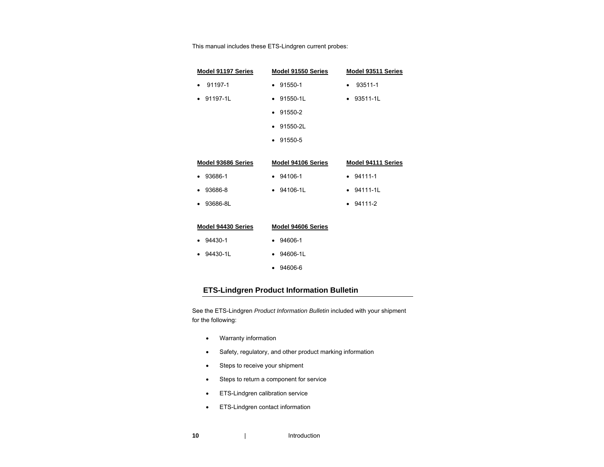This manual includes these ETS-Lindgren current probes:

| Model 91197 Series        | Model 91550 Series        | Model 93511 Series    |
|---------------------------|---------------------------|-----------------------|
| 91197-1<br>$\bullet$      | $• 91550-1$               | 93511-1<br>$\bullet$  |
| 91197-1L<br>$\bullet$     | $\bullet$ 91550-1L        | 93511-1L<br>$\bullet$ |
|                           | $-91550-2$                |                       |
|                           | $\bullet$ 91550-2L        |                       |
|                           | $\bullet$ 91550-5         |                       |
|                           |                           |                       |
| Model 93686 Series        | Model 94106 Series        | Model 94111 Series    |
| 93686-1                   | $-94106-1$                | $-94111-1$            |
| 93686-8<br>$\bullet$      | $-94106 - 1L$             | $-94111 - 11$         |
| 93686-8L<br>٠             |                           | $-94111-2$            |
|                           |                           |                       |
| <b>Model 94430 Series</b> | <b>Model 94606 Series</b> |                       |
| 94430-1<br>٠              | 94606-1<br>$\bullet$      |                       |
| 94430-1L<br>٠             | 94606-1L<br>$\bullet$     |                       |
|                           | 94606-6<br>٠              |                       |

#### **ETS-Lindgren Product Information Bulletin**

See the ETS-Lindgren *Product Information Bulletin* included with your shipment for the following:

- Warranty information
- Safety, regulatory, and other product marking information
- Steps to receive your shipment
- Steps to return a component for service
- ETS-Lindgren calibration service
- ETS-Lindgren contact information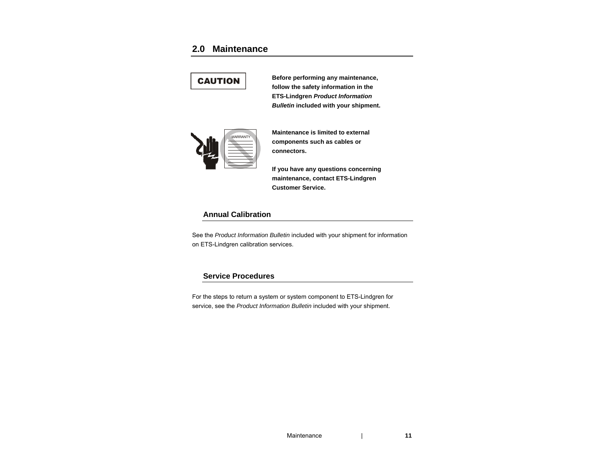## **2.0 Maintenance**

## **CAUTION**

**Before performing any maintenance, follow the safety information in the ETS-Lindgren** *Product Information Bulletin* **included with your shipment.** 



**Maintenance is limited to external components such as cables or connectors.** 

**If you have any questions concerning maintenance, contact ETS-Lindgren Customer Service.** 

#### **Annual Calibration**

See the *Product Information Bulletin* included with your shipment for information on ETS-Lindgren calibration services.

#### **Service Procedures**

For the steps to return a system or system component to ETS-Lindgren for service, see the *Product Information Bulletin* included with your shipment.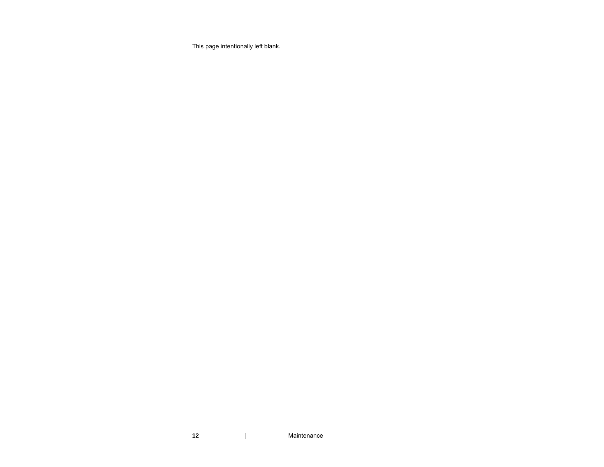This page intentionally left blank.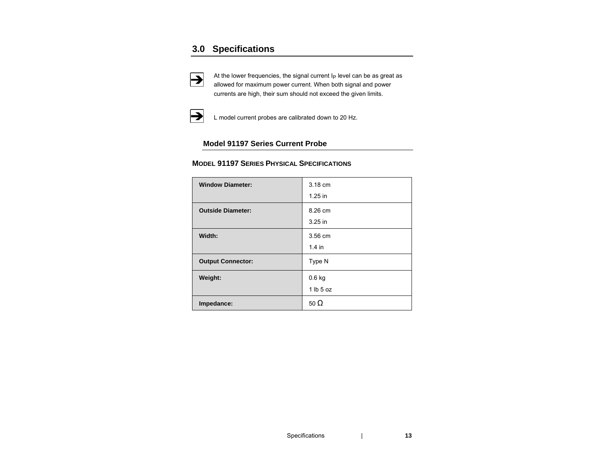## **3.0 Specifications**



At the lower frequencies, the signal current  $I<sub>P</sub>$  level can be as great as allowed for maximum power current. When both signal and power currents are high, their sum should not exceed the given limits.



L model current probes are calibrated down to 20 Hz.

#### **Model 91197 Series Current Probe**

#### **MODEL 91197 SERIES PHYSICAL SPECIFICATIONS**

| <b>Window Diameter:</b>  | 3.18 cm     |
|--------------------------|-------------|
|                          | $1.25$ in   |
| <b>Outside Diameter:</b> | 8.26 cm     |
|                          | $3.25$ in   |
| Width:                   | 3.56 cm     |
|                          | $1.4$ in    |
| <b>Output Connector:</b> | Type N      |
| Weight:                  | $0.6$ kg    |
|                          | 1 lb 5 oz   |
| Impedance:               | 50 $\Omega$ |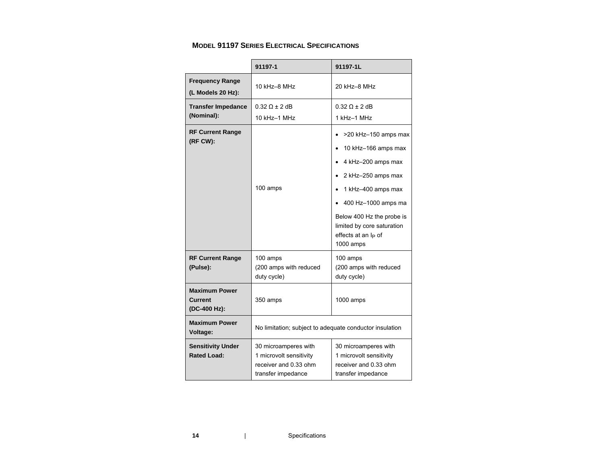#### **MODEL 91197 SERIES ELECTRICAL SPECIFICATIONS**

|                                                 | 91197-1                                                                                        | 91197-1L                                                                                                                                                                                                                                                                  |
|-------------------------------------------------|------------------------------------------------------------------------------------------------|---------------------------------------------------------------------------------------------------------------------------------------------------------------------------------------------------------------------------------------------------------------------------|
| <b>Frequency Range</b><br>(L Models 20 Hz):     | 10 kHz-8 MHz                                                                                   | 20 kHz-8 MHz                                                                                                                                                                                                                                                              |
| <b>Transfer Impedance</b><br>(Nominal):         | $0.32$ $\Omega$ $\pm$ 2 dB<br>10 kHz-1 MHz                                                     | $0.32$ $\Omega$ $\pm$ 2 dB<br>1 kHz-1 MHz                                                                                                                                                                                                                                 |
| <b>RF Current Range</b><br>(RF CW):             | 100 amps                                                                                       | >20 kHz-150 amps max<br>10 kHz-166 amps max<br>$\bullet$<br>4 kHz-200 amps max<br>2 kHz-250 amps max<br>1 kHz-400 amps max<br>$\bullet$<br>400 Hz-1000 amps ma<br>Below 400 Hz the probe is<br>limited by core saturation<br>effects at an I <sub>P</sub> of<br>1000 amps |
| <b>RF Current Range</b><br>(Pulse):             | 100 amps<br>(200 amps with reduced<br>duty cycle)                                              | 100 amps<br>(200 amps with reduced<br>duty cycle)                                                                                                                                                                                                                         |
| <b>Maximum Power</b><br>Current<br>(DC-400 Hz): | 350 amps                                                                                       | 1000 amps                                                                                                                                                                                                                                                                 |
| <b>Maximum Power</b><br>Voltage:                | No limitation; subject to adequate conductor insulation                                        |                                                                                                                                                                                                                                                                           |
| <b>Sensitivity Under</b><br><b>Rated Load:</b>  | 30 microamperes with<br>1 microvolt sensitivity<br>receiver and 0.33 ohm<br>transfer impedance | 30 microamperes with<br>1 microvolt sensitivity<br>receiver and 0.33 ohm<br>transfer impedance                                                                                                                                                                            |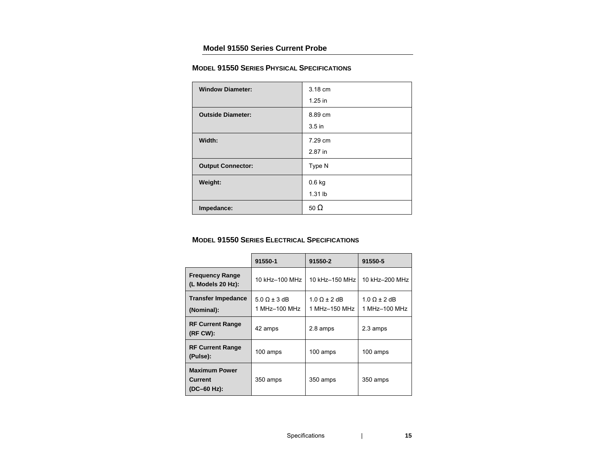#### **Model 91550 Series Current Probe**

#### **MODEL 91550 SERIES PHYSICAL SPECIFICATIONS**

| <b>Window Diameter:</b>  | 3.18 cm<br>$1.25$ in         |
|--------------------------|------------------------------|
| <b>Outside Diameter:</b> | 8.89 cm<br>3.5 <sub>in</sub> |
| Width:                   | 7.29 cm<br>2.87 in           |
| <b>Output Connector:</b> | Type N                       |
| Weight:                  | $0.6$ kg<br>$1.31$ lb        |
| Impedance:               | 50 $\Omega$                  |

#### **MODEL 91550 SERIES ELECTRICAL SPECIFICATIONS**

|                                                | 91550-1                                | 91550-2                                | 91550-5                                |
|------------------------------------------------|----------------------------------------|----------------------------------------|----------------------------------------|
| <b>Frequency Range</b><br>(L Models 20 Hz):    | 10 kHz-100 MHz                         | 10 kHz-150 MHz                         | 10 kHz-200 MHz                         |
| <b>Transfer Impedance</b><br>(Nominal):        | $5.0 \Omega \pm 3$ dB<br>1 MHz-100 MHz | $1.0 \Omega \pm 2$ dB<br>1 MHz-150 MHz | $1.0 \Omega \pm 2$ dB<br>1 MHz-100 MHz |
| <b>RF Current Range</b><br>(RF CW):            | 42 amps                                | 2.8 amps                               | 2.3 amps                               |
| <b>RF Current Range</b><br>(Pulse):            | 100 amps                               | 100 amps                               | 100 amps                               |
| <b>Maximum Power</b><br>Current<br>(DC-60 Hz): | 350 amps                               | 350 amps                               | 350 amps                               |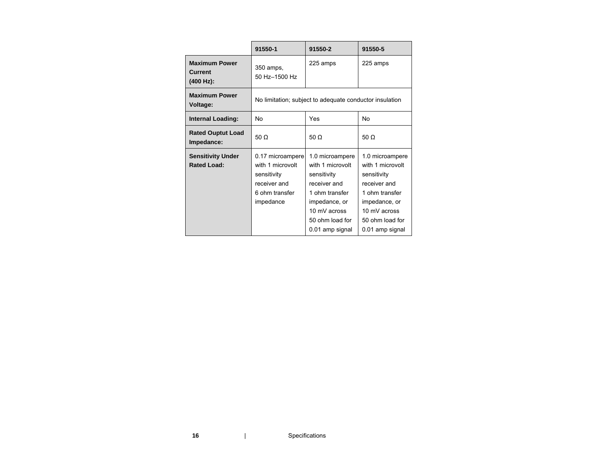|                                                     | 91550-1                                                                                            | 91550-2                                                                                                                                                     | 91550-5                                                                                                                                                     |
|-----------------------------------------------------|----------------------------------------------------------------------------------------------------|-------------------------------------------------------------------------------------------------------------------------------------------------------------|-------------------------------------------------------------------------------------------------------------------------------------------------------------|
| <b>Maximum Power</b><br><b>Current</b><br>(400 Hz): | 350 amps,<br>50 Hz-1500 Hz                                                                         | 225 amps                                                                                                                                                    | 225 amps                                                                                                                                                    |
| <b>Maximum Power</b><br>Voltage:                    | No limitation; subject to adequate conductor insulation                                            |                                                                                                                                                             |                                                                                                                                                             |
| <b>Internal Loading:</b>                            | No                                                                                                 | Yes                                                                                                                                                         | N <sub>o</sub>                                                                                                                                              |
| <b>Rated Ouptut Load</b><br>Impedance:              | 50 $\Omega$                                                                                        | 50 $\Omega$                                                                                                                                                 | 50 $\Omega$                                                                                                                                                 |
| <b>Sensitivity Under</b><br>Rated Load:             | 0.17 microampere<br>with 1 microvolt<br>sensitivity<br>receiver and<br>6 ohm transfer<br>impedance | 1.0 microampere<br>with 1 microvolt<br>sensitivity<br>receiver and<br>1 ohm transfer<br>impedance, or<br>10 mV across<br>50 ohm load for<br>0.01 amp signal | 1.0 microampere<br>with 1 microvolt<br>sensitivity<br>receiver and<br>1 ohm transfer<br>impedance, or<br>10 mV across<br>50 ohm load for<br>0.01 amp signal |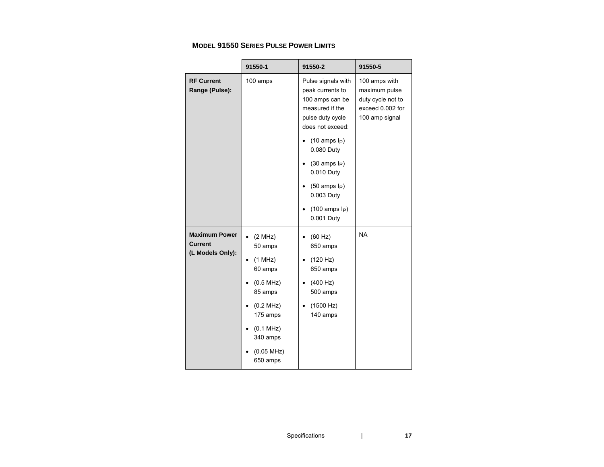#### **MODEL 91550 SERIES PULSE POWER LIMITS**

|                                                            | 91550-1                                               | 91550-2                                                                                                              | 91550-5                                                                                   |
|------------------------------------------------------------|-------------------------------------------------------|----------------------------------------------------------------------------------------------------------------------|-------------------------------------------------------------------------------------------|
| <b>RF Current</b><br>Range (Pulse):                        | 100 amps                                              | Pulse signals with<br>peak currents to<br>100 amps can be<br>measured if the<br>pulse duty cycle<br>does not exceed: | 100 amps with<br>maximum pulse<br>duty cycle not to<br>exceed 0.002 for<br>100 amp signal |
|                                                            |                                                       | $(10 \text{ amps } I_P)$<br>0.080 Duty                                                                               |                                                                                           |
|                                                            |                                                       | $(30 \text{ amps } I_P)$<br>0.010 Duty                                                                               |                                                                                           |
|                                                            |                                                       | $(50 \text{ amps } I_P)$<br>0.003 Duty                                                                               |                                                                                           |
|                                                            |                                                       | $(100 \text{ amps } I_P)$<br>0.001 Duty                                                                              |                                                                                           |
| <b>Maximum Power</b><br><b>Current</b><br>(L Models Only): | (2 MHz)<br>50 amps<br>(1 MHz)<br>$\bullet$<br>60 amps | (60 Hz)<br>650 amps<br>(120 Hz)<br>650 amps                                                                          | <b>NA</b>                                                                                 |
|                                                            | (0.5 MHz)<br>85 amps                                  | (400 Hz)<br>500 amps                                                                                                 |                                                                                           |
|                                                            | (0.2 MHz)<br>$\bullet$<br>175 amps                    | (1500 Hz)<br>140 amps                                                                                                |                                                                                           |
|                                                            | (0.1 MHz)<br>340 amps                                 |                                                                                                                      |                                                                                           |
|                                                            | $(0.05$ MHz)<br>650 amps                              |                                                                                                                      |                                                                                           |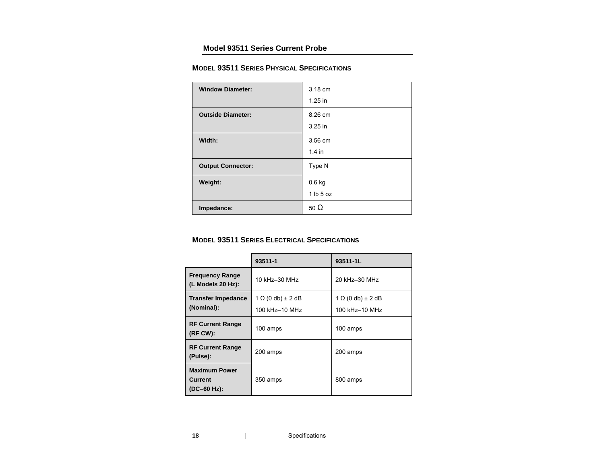#### **Model 93511 Series Current Probe**

#### **MODEL 93511 SERIES PHYSICAL SPECIFICATIONS**

| <b>Window Diameter:</b>  | 3.18 cm<br>$1.25$ in  |
|--------------------------|-----------------------|
| <b>Outside Diameter:</b> | 8.26 cm<br>3.25 in    |
| Width:                   | 3.56 cm<br>$1.4$ in   |
| <b>Output Connector:</b> | Type N                |
| Weight:                  | $0.6$ kg<br>1 lb 5 oz |
| Impedance:               | 50 $\Omega$           |

#### **MODEL 93511 SERIES ELECTRICAL SPECIFICATIONS**

|                                                   | 93511-1                                        | 93511-1L                                       |
|---------------------------------------------------|------------------------------------------------|------------------------------------------------|
| <b>Frequency Range</b><br>(L Models 20 Hz):       | 10 kHz-30 MHz                                  | 20 kHz-30 MHz                                  |
| <b>Transfer Impedance</b><br>(Nominal):           | $1 \Omega$ (0 db) $\pm$ 2 dB<br>100 kHz-10 MHz | $1 \Omega$ (0 db) $\pm$ 2 dB<br>100 kHz-10 MHz |
| <b>RF Current Range</b><br>(RF CW):               | 100 amps                                       | 100 amps                                       |
| <b>RF Current Range</b><br>(Pulse):               | 200 amps                                       | 200 amps                                       |
| <b>Maximum Power</b><br>Current<br>$(DC-60 Hz)$ : | 350 amps                                       | 800 amps                                       |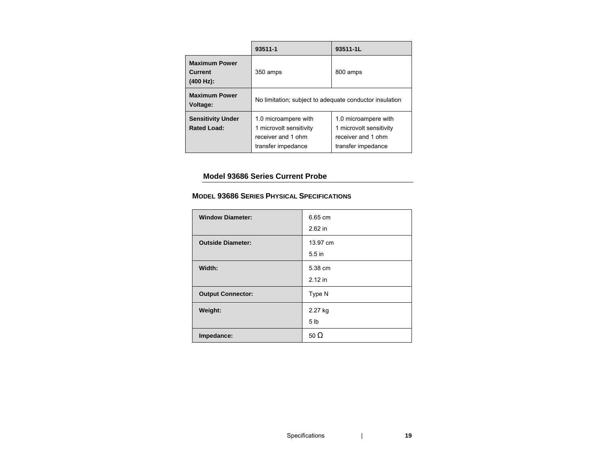|                                              | 93511-1                                                                                     | 93511-1L                                                                                    |
|----------------------------------------------|---------------------------------------------------------------------------------------------|---------------------------------------------------------------------------------------------|
| <b>Maximum Power</b><br>Current<br>(400 Hz): | 350 amps                                                                                    | 800 amps                                                                                    |
| <b>Maximum Power</b><br>Voltage:             | No limitation; subject to adequate conductor insulation                                     |                                                                                             |
| <b>Sensitivity Under</b><br>Rated Load:      | 1.0 microampere with<br>1 microvolt sensitivity<br>receiver and 1 ohm<br>transfer impedance | 1.0 microampere with<br>1 microvolt sensitivity<br>receiver and 1 ohm<br>transfer impedance |

#### **Model 93686 Series Current Probe**

#### **MODEL 93686 SERIES PHYSICAL SPECIFICATIONS**

| <b>Window Diameter:</b>  | 6.65 cm           |
|--------------------------|-------------------|
|                          | 2.62 in           |
| <b>Outside Diameter:</b> | 13.97 cm          |
|                          | 5.5 <sub>in</sub> |
| Width:                   | 5.38 cm           |
|                          | 2.12 in           |
| <b>Output Connector:</b> | Type N            |
| Weight:                  | 2.27 kg           |
|                          | 5 <sub>1b</sub>   |
| Impedance:               | 50 $\Omega$       |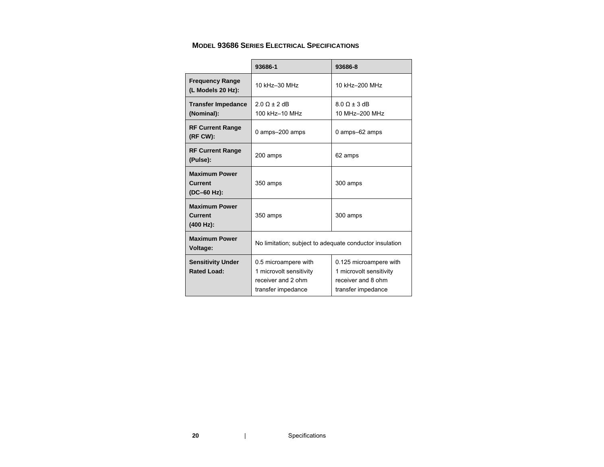#### **MODEL 93686 SERIES ELECTRICAL SPECIFICATIONS**

|                                                     | 93686-1                                                                                     | 93686-8                                                                                       |
|-----------------------------------------------------|---------------------------------------------------------------------------------------------|-----------------------------------------------------------------------------------------------|
| <b>Frequency Range</b><br>(L Models 20 Hz):         | 10 kHz-30 MHz                                                                               | 10 kHz-200 MHz                                                                                |
| <b>Transfer Impedance</b><br>(Nominal):             | $200+2dB$<br>100 kHz-10 MHz                                                                 | $8.0 \Omega \pm 3$ dB<br>10 MHz-200 MHz                                                       |
| <b>RF Current Range</b><br>(RF CW):                 | 0 amps-200 amps                                                                             | 0 amps-62 amps                                                                                |
| <b>RF Current Range</b><br>(Pulse):                 | 200 amps                                                                                    | 62 amps                                                                                       |
| <b>Maximum Power</b><br>Current<br>(DC-60 Hz):      | 350 amps                                                                                    | 300 amps                                                                                      |
| <b>Maximum Power</b><br><b>Current</b><br>(400 Hz): | 350 amps                                                                                    | 300 amps                                                                                      |
| <b>Maximum Power</b><br>Voltage:                    | No limitation; subject to adequate conductor insulation                                     |                                                                                               |
| <b>Sensitivity Under</b><br>Rated Load:             | 0.5 microampere with<br>1 microvolt sensitivity<br>receiver and 2 ohm<br>transfer impedance | 0.125 microampere with<br>1 microvolt sensitivity<br>receiver and 8 ohm<br>transfer impedance |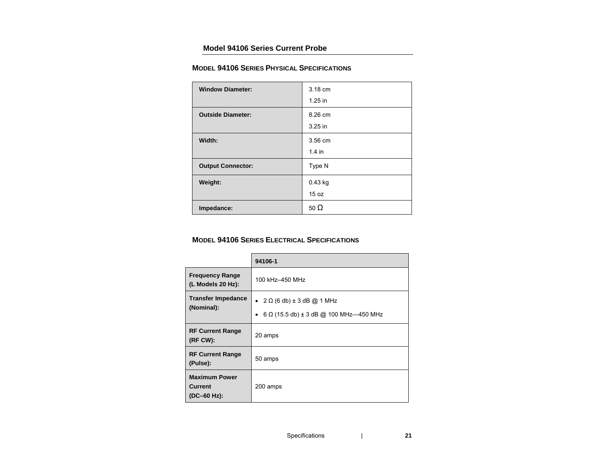#### **Model 94106 Series Current Probe**

#### **MODEL 94106 SERIES PHYSICAL SPECIFICATIONS**

| <b>Window Diameter:</b>  | 3.18 cm<br>$1.25$ in |
|--------------------------|----------------------|
| <b>Outside Diameter:</b> | 8.26 cm<br>3.25 in   |
| Width:                   | 3.56 cm<br>$1.4$ in  |
| <b>Output Connector:</b> | Type N               |
| Weight:                  | $0.43$ kg<br>15 oz   |
| Impedance:               | 50 $\Omega$          |

#### **MODEL 94106 SERIES ELECTRICAL SPECIFICATIONS**

|                                                | 94106-1                                                                                              |
|------------------------------------------------|------------------------------------------------------------------------------------------------------|
| <b>Frequency Range</b><br>(L Models 20 Hz):    | 100 kHz-450 MHz                                                                                      |
| <b>Transfer Impedance</b><br>(Nominal):        | • $2 \Omega (6 db) \pm 3 dB (a) 1 MHz$<br>$6 \Omega$ (15.5 db) ± 3 dB @ 100 MHz-450 MHz<br>$\bullet$ |
| <b>RF Current Range</b><br>(RF CW):            | 20 amps                                                                                              |
| <b>RF Current Range</b><br>(Pulse):            | 50 amps                                                                                              |
| <b>Maximum Power</b><br>Current<br>(DC-60 Hz): | 200 amps                                                                                             |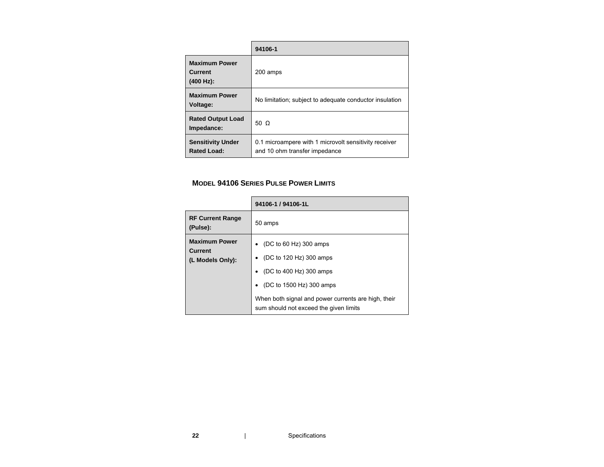|                                                     | 94106-1                                                                                |
|-----------------------------------------------------|----------------------------------------------------------------------------------------|
| <b>Maximum Power</b><br><b>Current</b><br>(400 Hz): | 200 amps                                                                               |
| <b>Maximum Power</b><br>Voltage:                    | No limitation; subject to adequate conductor insulation                                |
| <b>Rated Output Load</b><br>Impedance:              | 50 $\Omega$                                                                            |
| <b>Sensitivity Under</b><br><b>Rated Load:</b>      | 0.1 microampere with 1 microvolt sensitivity receiver<br>and 10 ohm transfer impedance |

#### **MODEL 94106 SERIES PULSE POWER LIMITS**

|                                                            | 94106-1 / 94106-1L                                                                                                                                                                                        |
|------------------------------------------------------------|-----------------------------------------------------------------------------------------------------------------------------------------------------------------------------------------------------------|
| <b>RF Current Range</b><br>(Pulse):                        | 50 amps                                                                                                                                                                                                   |
| <b>Maximum Power</b><br><b>Current</b><br>(L Models Only): | (DC to 60 Hz) 300 amps<br>(DC to 120 Hz) 300 amps<br>(DC to 400 Hz) 300 amps<br>(DC to 1500 Hz) 300 amps<br>When both signal and power currents are high, their<br>sum should not exceed the given limits |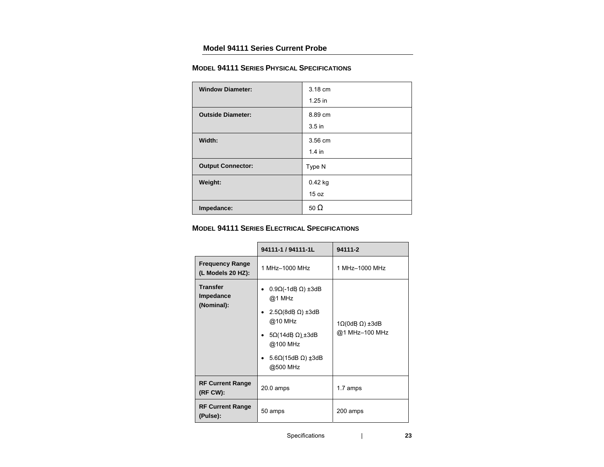#### **Model 94111 Series Current Probe**

#### **MODEL 94111 SERIES PHYSICAL SPECIFICATIONS**

| <b>Window Diameter:</b>  | 3.18 cm<br>$1.25$ in |
|--------------------------|----------------------|
| <b>Outside Diameter:</b> | 8.89 cm              |
|                          | 3.5 <sub>in</sub>    |
| Width:                   | 3.56 cm              |
|                          | $1.4$ in             |
| <b>Output Connector:</b> | Type N               |
| Weight:                  | $0.42$ kg            |
|                          | 15 oz                |
| Impedance:               | 50 $\Omega$          |

#### **MODEL 94111 SERIES ELECTRICAL SPECIFICATIONS**

|                                             | 94111-1 / 94111-1L                                                                                                                                                                     | 94111-2                                         |
|---------------------------------------------|----------------------------------------------------------------------------------------------------------------------------------------------------------------------------------------|-------------------------------------------------|
| <b>Frequency Range</b><br>(L Models 20 HZ): | 1 MHz-1000 MHz                                                                                                                                                                         | 1 MHz-1000 MHz                                  |
| <b>Transfer</b><br>Impedance<br>(Nominal):  | $0.9\Omega(-1dB \Omega) \pm 3dB$<br>@1 MHz<br>$2.5\Omega(8dB \Omega) \pm 3dB$<br>@10 MHz<br>$5\Omega(14dB \Omega) \pm 3dB$<br>@100 MHz<br>$5.6\Omega(15dB \Omega) \pm 3dB$<br>@500 MHz | $1\Omega(0dB \Omega) \pm 3dB$<br>@1 MHz-100 MHz |
| <b>RF Current Range</b><br>(RF CW):         | $20.0 \text{ amps}$                                                                                                                                                                    | 1.7 amps                                        |
| <b>RF Current Range</b><br>(Pulse):         | 50 amps                                                                                                                                                                                | 200 amps                                        |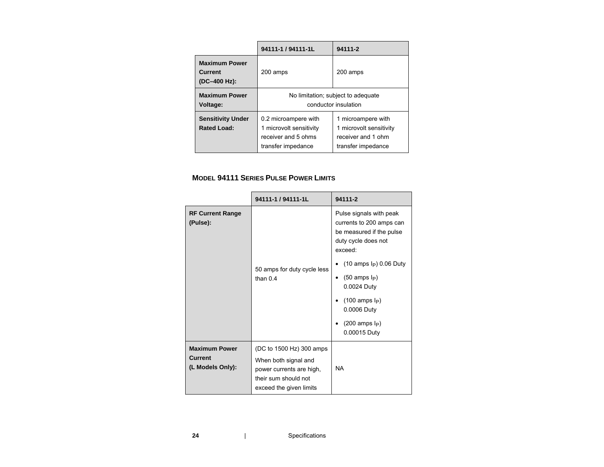|                                                        | 94111-1 / 94111-1L                                                                           | 94111-2                                                                                   |
|--------------------------------------------------------|----------------------------------------------------------------------------------------------|-------------------------------------------------------------------------------------------|
| <b>Maximum Power</b><br><b>Current</b><br>(DC-400 Hz): | 200 amps                                                                                     | 200 amps                                                                                  |
| <b>Maximum Power</b><br>Voltage:                       | No limitation; subject to adequate<br>conductor insulation                                   |                                                                                           |
| <b>Sensitivity Under</b><br><b>Rated Load:</b>         | 0.2 microampere with<br>1 microvolt sensitivity<br>receiver and 5 ohms<br>transfer impedance | 1 microampere with<br>1 microvolt sensitivity<br>receiver and 1 ohm<br>transfer impedance |

#### **MODEL 94111 SERIES PULSE POWER LIMITS**

|                                                            | 94111-1 / 94111-1L                                                                                                                           | 94111-2                                                                                                                                                                                                                                                                                                            |
|------------------------------------------------------------|----------------------------------------------------------------------------------------------------------------------------------------------|--------------------------------------------------------------------------------------------------------------------------------------------------------------------------------------------------------------------------------------------------------------------------------------------------------------------|
| <b>RF Current Range</b><br>(Pulse):                        | 50 amps for duty cycle less<br>than $0.4$                                                                                                    | Pulse signals with peak<br>currents to 200 amps can<br>be measured if the pulse<br>duty cycle does not<br>exceed:<br>$(10 \text{ amps} \, \text{lp}) 0.06 \, \text{Duty}$<br>٠<br>$(50 \text{ amps } I_P)$<br>0.0024 Duty<br>$(100 \text{ amps } I_P)$<br>0.0006 Duty<br>$(200 \text{ amps } I_P)$<br>0.00015 Duty |
| <b>Maximum Power</b><br><b>Current</b><br>(L Models Only): | (DC to 1500 Hz) 300 amps<br>When both signal and<br><b>NA</b><br>power currents are high,<br>their sum should not<br>exceed the given limits |                                                                                                                                                                                                                                                                                                                    |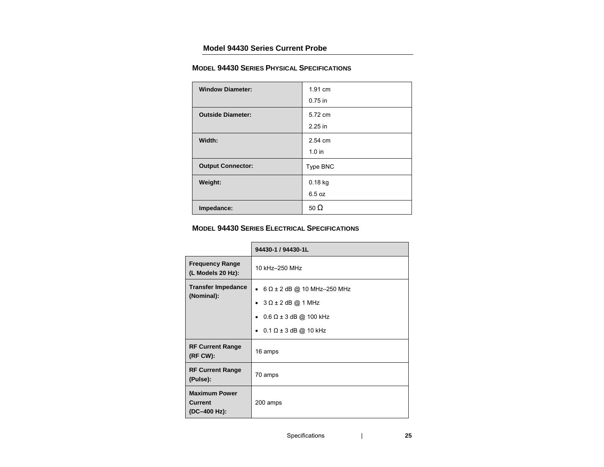#### **Model 94430 Series Current Probe**

#### **MODEL 94430 SERIES PHYSICAL SPECIFICATIONS**

| <b>Window Diameter:</b>  | 1.91 cm<br>$0.75$ in |
|--------------------------|----------------------|
| <b>Outside Diameter:</b> | 5.72 cm<br>$2.25$ in |
| Width:                   | 2.54 cm<br>$1.0$ in  |
| <b>Output Connector:</b> | Type BNC             |
| Weight:                  | $0.18$ kg<br>6.5 oz  |
| Impedance:               | 50 $\Omega$          |

#### **MODEL 94430 SERIES ELECTRICAL SPECIFICATIONS**

|                                                 | 94430-1 / 94430-1L                                                                                                                                                   |
|-------------------------------------------------|----------------------------------------------------------------------------------------------------------------------------------------------------------------------|
| <b>Frequency Range</b><br>(L Models 20 Hz):     | 10 kHz-250 MHz                                                                                                                                                       |
| <b>Transfer Impedance</b><br>(Nominal):         | • $6 \Omega \pm 2$ dB @ 10 MHz-250 MHz<br>$\bullet$ 3 $\Omega$ ± 2 dB @ 1 MHz<br>$0.6 \Omega \pm 3$ dB @ 100 kHz<br>٠<br>$0.1 \Omega \pm 3$ dB @ 10 kHz<br>$\bullet$ |
| <b>RF Current Range</b><br>(RF CW):             | 16 amps                                                                                                                                                              |
| <b>RF Current Range</b><br>(Pulse):             | 70 amps                                                                                                                                                              |
| <b>Maximum Power</b><br>Current<br>(DC-400 Hz): | 200 amps                                                                                                                                                             |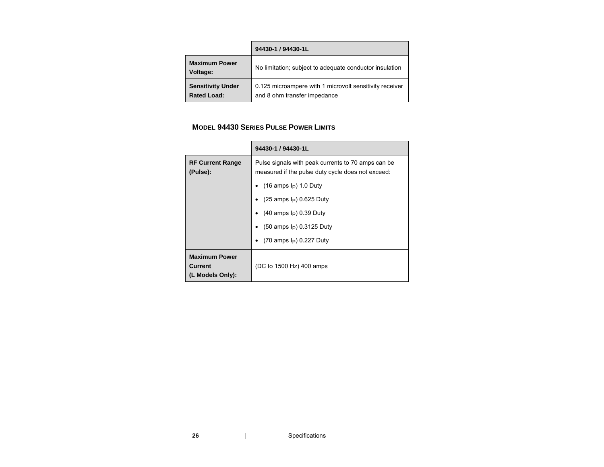|                                         | 94430-1 / 94430-1L                                                                      |  |
|-----------------------------------------|-----------------------------------------------------------------------------------------|--|
| <b>Maximum Power</b><br>Voltage:        | No limitation; subject to adequate conductor insulation                                 |  |
| <b>Sensitivity Under</b><br>Rated Load: | 0.125 microampere with 1 microvolt sensitivity receiver<br>and 8 ohm transfer impedance |  |

#### **MODEL 94430 SERIES PULSE POWER LIMITS**

|                                                     | 94430-1 / 94430-1L                                                                                       |  |
|-----------------------------------------------------|----------------------------------------------------------------------------------------------------------|--|
| <b>RF Current Range</b><br>(Pulse):                 | Pulse signals with peak currents to 70 amps can be.<br>measured if the pulse duty cycle does not exceed: |  |
|                                                     | $(16 \text{ amps} \, \text{lp}) \, 1.0 \, \text{Duty}$                                                   |  |
|                                                     | $(25 \text{ amps } I_P) 0.625 \text{ Duty}$                                                              |  |
|                                                     | $(40 \text{ amps } I_P)$ 0.39 Duty                                                                       |  |
|                                                     | $(50 \text{ amps} \, \text{lp}) 0.3125 \, \text{Duty}$                                                   |  |
|                                                     | $(70 \text{ amps } I_P) 0.227 \text{ Duty}$                                                              |  |
| <b>Maximum Power</b><br>Current<br>(L Models Only): | (DC to 1500 Hz) 400 amps                                                                                 |  |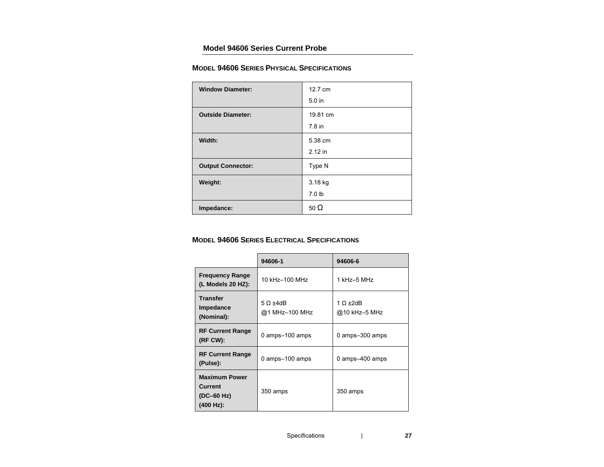#### **Model 94606 Series Current Probe**

#### **MODEL 94606 SERIES PHYSICAL SPECIFICATIONS**

| <b>Window Diameter:</b>  | 12.7 cm<br>5.0 in            |
|--------------------------|------------------------------|
| <b>Outside Diameter:</b> | 19.81 cm<br>7.8 in           |
| Width:                   | 5.38 cm<br>$2.12$ in         |
| <b>Output Connector:</b> | Type N                       |
| Weight:                  | 3.18 kg<br>7.0 <sub>lb</sub> |
| Impedance:               | 50 $\Omega$                  |

#### **MODEL 94606 SERIES ELECTRICAL SPECIFICATIONS**

|                                                                     | 94606-1                              | 94606-6                             |
|---------------------------------------------------------------------|--------------------------------------|-------------------------------------|
| <b>Frequency Range</b><br>(L Models 20 HZ):                         | 10 kHz-100 MHz                       | 1 kHz-5 MHz                         |
| <b>Transfer</b><br>Impedance<br>(Nominal):                          | $5 \Omega \pm 4dB$<br>@1 MHz-100 MHz | $1 \Omega \pm 2dB$<br>@10 kHz-5 MHz |
| <b>RF Current Range</b><br>(RF CW):                                 | 0 amps $-100$ amps                   | 0 amps-300 amps                     |
| <b>RF Current Range</b><br>(Pulse):                                 | 0 amps $-100$ amps                   | 0 amps-400 amps                     |
| <b>Maximum Power</b><br><b>Current</b><br>$(DC-60 Hz)$<br>(400 Hz): | 350 amps                             | 350 amps                            |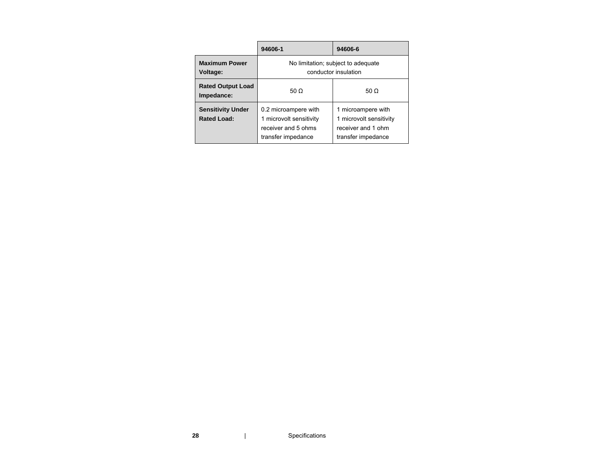|                                         | 94606-1                                                                                      | 94606-6                                                                                   |
|-----------------------------------------|----------------------------------------------------------------------------------------------|-------------------------------------------------------------------------------------------|
| <b>Maximum Power</b><br>Voltage:        | No limitation; subject to adequate<br>conductor insulation                                   |                                                                                           |
| <b>Rated Output Load</b><br>Impedance:  | 50 $\Omega$                                                                                  | 50 $\Omega$                                                                               |
| <b>Sensitivity Under</b><br>Rated Load: | 0.2 microampere with<br>1 microvolt sensitivity<br>receiver and 5 ohms<br>transfer impedance | 1 microampere with<br>1 microvolt sensitivity<br>receiver and 1 ohm<br>transfer impedance |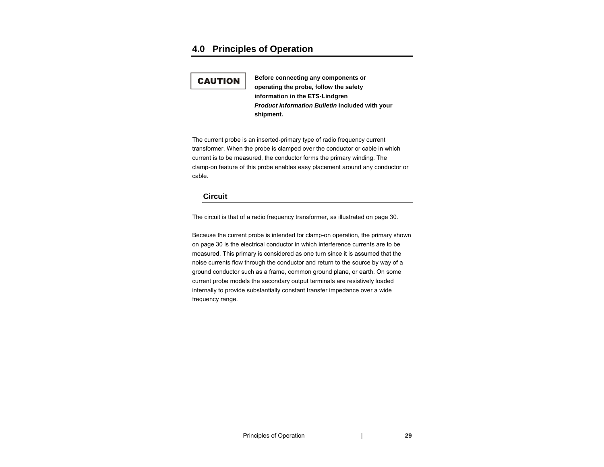## **4.0 Principles of Operation**

## **CAUTION**

**Before connecting any components or operating the probe, follow the safety information in the ETS-Lindgren**  *Product Information Bulletin* **included with your shipment.** 

The current probe is an inserted-primary type of radio frequency current transformer. When the probe is clamped over the conductor or cable in which current is to be measured, the conductor forms the primary winding. The clamp-on feature of this probe enables easy placement around any conductor or cable.

#### **Circuit**

The circuit is that of a radio frequency transformer, as illustrated on page 30.

Because the current probe is intended for clamp-on operation, the primary shown on page 30 is the electrical conductor in which interference currents are to be measured. This primary is considered as one turn since it is assumed that the noise currents flow through the conductor and return to the source by way of a ground conductor such as a frame, common ground plane, or earth. On some current probe models the secondary output terminals are resistively loaded internally to provide substantially constant transfer impedance over a wide frequency range.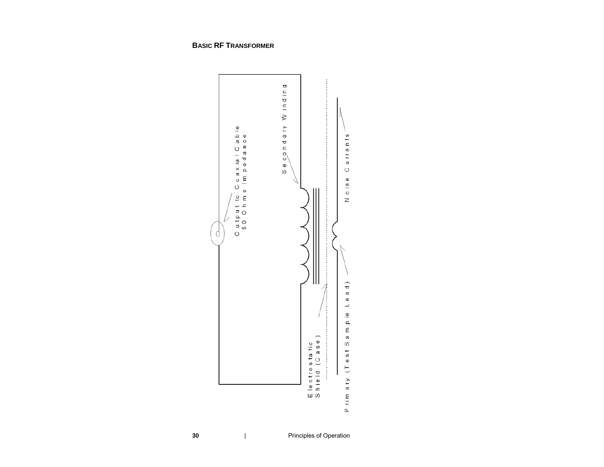#### **BASIC RF TRANSFORMER**



**30** | Principles of Operation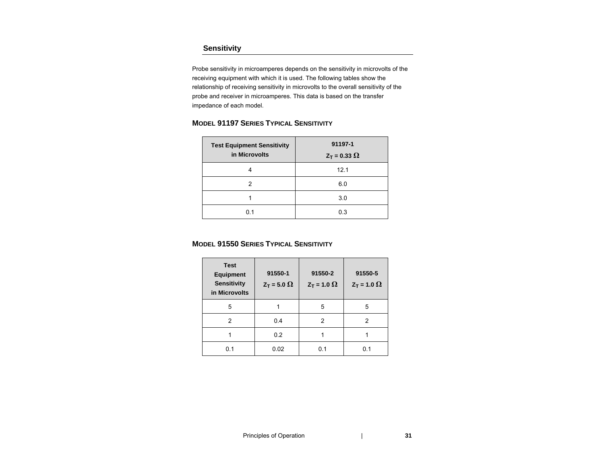### **Sensitivity**

Probe sensitivity in microamperes depends on the sensitivity in microvolts of the receiving equipment with which it is used. The following tables show the relationship of receiving sensitivity in microvolts to the overall sensitivity of the probe and receiver in microamperes. This data is based on the transfer impedance of each model.

#### **MODEL 91197 SERIES TYPICAL SENSITIVITY**

| <b>Test Equipment Sensitivity</b><br>in Microvolts | 91197-1<br>$Z_T = 0.33 \Omega$ |
|----------------------------------------------------|--------------------------------|
|                                                    | 12.1                           |
| 2                                                  | 6.0                            |
|                                                    | 3.0                            |
| ი 1                                                | 0.3                            |

#### **MODEL 91550SERIES TYPICAL SENSITIVITY**

| <b>Test</b><br><b>Equipment</b><br><b>Sensitivity</b><br>in Microvolts | 91550-1<br>$Z_T = 5.0 \Omega$ | 91550-2<br>$Z_T = 1.0 \Omega$ | 91550-5<br>$Z_T = 1.0 \Omega$ |
|------------------------------------------------------------------------|-------------------------------|-------------------------------|-------------------------------|
| 5                                                                      |                               | 5                             | 5                             |
| 2                                                                      | 0.4                           | 2                             | 2                             |
|                                                                        | 0.2                           |                               |                               |
| 0.1                                                                    | 0.02                          | 0.1                           | 0.1                           |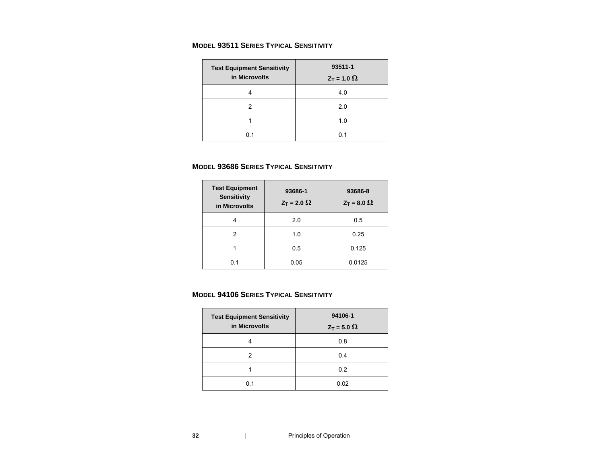#### **MODEL 93511 SERIES TYPICAL SENSITIVITY**

| <b>Test Equipment Sensitivity</b><br>in Microvolts | 93511-1<br>$Z_T = 1.0 \Omega$ |
|----------------------------------------------------|-------------------------------|
|                                                    | 4.0                           |
| 2                                                  | 2.0                           |
|                                                    | 1.0                           |
| 0.1                                                | 0.1                           |

#### **MODEL 93686 SERIES TYPICAL SENSITIVITY**

| <b>Test Equipment</b><br><b>Sensitivity</b><br>in Microvolts | 93686-1<br>$Z_T = 2.0 \Omega$ | 93686-8<br>$Z_T = 8.0 \Omega$ |
|--------------------------------------------------------------|-------------------------------|-------------------------------|
| 4                                                            | 2.0                           | 0.5                           |
| 2                                                            | 1.0                           | 0.25                          |
|                                                              | 0.5                           | 0.125                         |
| 0.1                                                          | 0.05                          | 0.0125                        |

#### **MODEL 94106 SERIES TYPICAL SENSITIVITY**

| <b>Test Equipment Sensitivity</b><br>in Microvolts | 94106-1<br>$Z_T = 5.0 \Omega$ |
|----------------------------------------------------|-------------------------------|
|                                                    | 0.8                           |
| 2                                                  | 0.4                           |
|                                                    | 0.2                           |
| ი 1                                                | 0.02                          |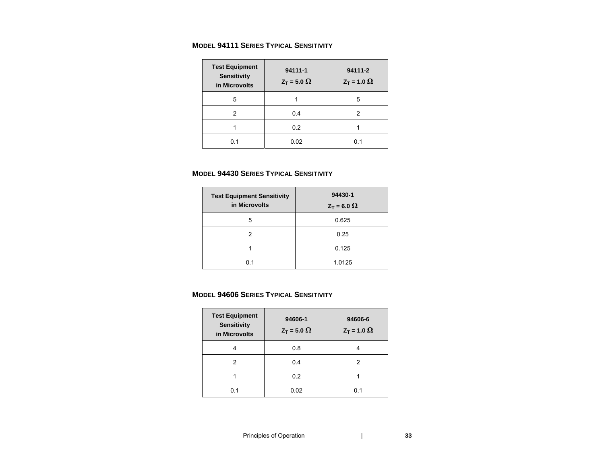#### **MODEL 94111SERIES TYPICAL SENSITIVITY**

| <b>Test Equipment</b><br><b>Sensitivity</b><br>in Microvolts | 94111-1<br>$Z_T = 5.0 \Omega$ | 94111-2<br>$Z_T = 1.0 \Omega$ |
|--------------------------------------------------------------|-------------------------------|-------------------------------|
| 5                                                            |                               | 5                             |
| 2                                                            | 0.4                           | 2                             |
|                                                              | 0.2                           |                               |
| 0.1                                                          | 0.02                          | 0.1                           |

#### **MODEL 94430 SERIES TYPICAL SENSITIVITY**

| <b>Test Equipment Sensitivity</b> | 94430-1            |
|-----------------------------------|--------------------|
| in Microvolts                     | $Z_T = 6.0 \Omega$ |
| 5                                 | 0.625              |
| 2                                 | 0.25               |
|                                   | 0.125              |
| ი 1                               | 1.0125             |

#### **MODEL 94606 SERIES TYPICAL SENSITIVITY**

| <b>Test Equipment</b><br><b>Sensitivity</b><br>in Microvolts | 94606-1<br>$Z_T = 5.0 \Omega$ | 94606-6<br>$Z_T = 1.0 \Omega$ |
|--------------------------------------------------------------|-------------------------------|-------------------------------|
| 4                                                            | 0.8                           |                               |
| 2                                                            | 0.4                           | 2                             |
|                                                              | 0.2                           |                               |
| 01                                                           | 0.02                          | 0.1                           |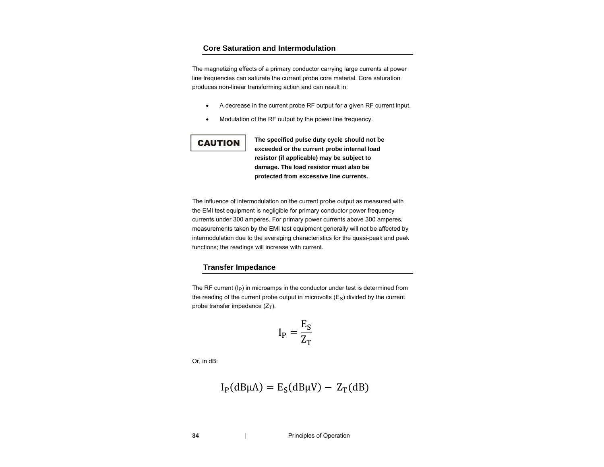#### **Core Saturation and Intermodulation**

The magnetizing effects of a primary conductor carrying large currents at power line frequencies can saturate the current probe core material. Core saturation produces non-linear transforming action and can result in:

- A decrease in the current probe RF output for a given RF current input.
- Modulation of the RF output by the power line frequency.

## **CAUTION**

**The specified pulse duty cycle should not be exceeded or the current probe internal load resistor (if applicable) may be subject to damage. The load resistor must also be protected from excessive line currents.** 

The influence of intermodulation on the current probe output as measured with the EMI test equipment is negligible for primary conductor power frequency currents under 300 amperes. For primary power currents above 300 amperes, measurements taken by the EMI test equipment generally will not be affected by intermodulation due to the averaging characteristics for the quasi-peak and peak functions; the readings will increase with current.

#### **Transfer Impedance**

The RF current  $(I_P)$  in microamps in the conductor under test is determined from the reading of the current probe output in microvolts  $(E<sub>S</sub>)$  divided by the current probe transfer impedance  $(Z_T)$ .

$$
I_P = \frac{E_S}{Z_T}
$$

Or, in dB:

$$
I_{P}(dB\mu A) = E_{S}(dB\mu V) - Z_{T}(dB)
$$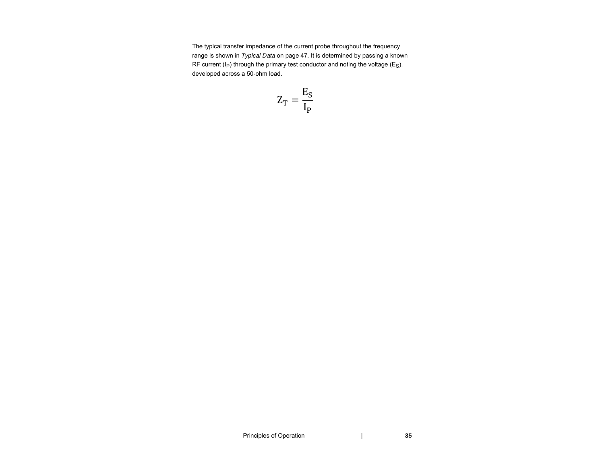The typical transfer impedance of the current probe throughout the frequency range is shown in *Typical Data* on page 47. It is determined by passing a known RF current (I<sub>P</sub>) through the primary test conductor and noting the voltage (E<sub>S</sub>), developed across a 50-ohm load.

$$
Z_T = \frac{E_S}{I_P}
$$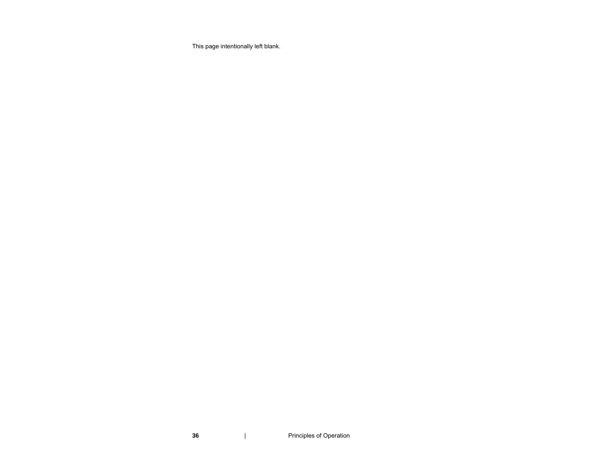This page intentionally left blank.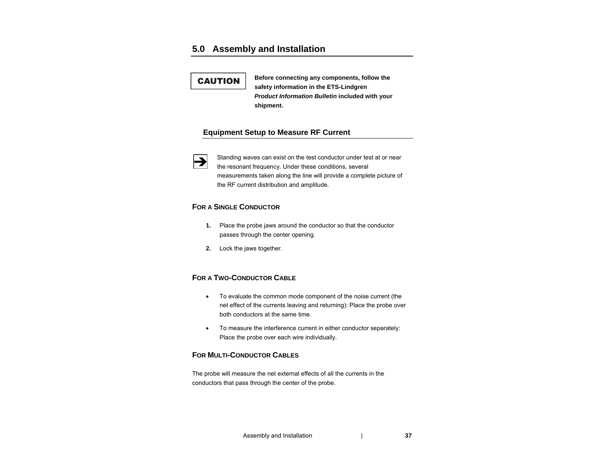### **5.0 Assembly and Installation**

## **CAUTION**

**Before connecting any components, follow the safety information in the ETS-Lindgren**  *Product Information Bulletin* **included with your shipment.** 

#### **Equipment Setup to Measure RF Current**



Standing waves can exist on the test conductor under test at or near the resonant frequency. Under these conditions, several measurements taken along the line will provide a complete picture of the RF current distribution and amplitude.

#### **FOR A SINGLE CONDUCTOR**

- **1.** Place the probe jaws around the conductor so that the conductor passes through the center opening.
- **2.** Lock the jaws together.

#### **FOR A TWO-CONDUCTOR CABLE**

- To evaluate the common mode component of the noise current (the net effect of the currents leaving and returning): Place the probe over both conductors at the same time.
- To measure the interference current in either conductor separately: Place the probe over each wire individually.

#### **FOR MULTI-CONDUCTOR CABLES**

The probe will measure the net external effects of all the currents in the conductors that pass through the center of the probe.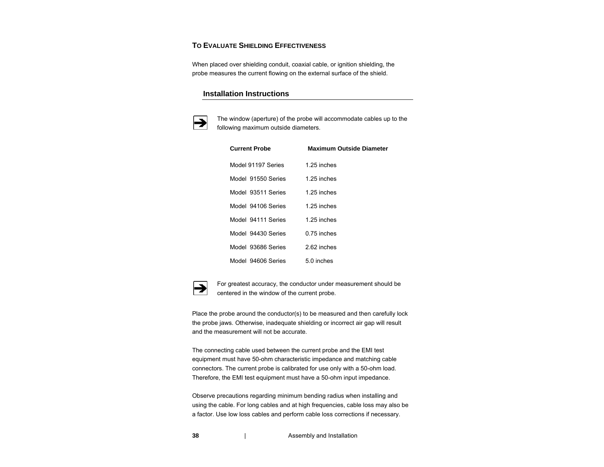#### **TO EVALUATE SHIELDING EFFECTIVENESS**

When placed over shielding conduit, coaxial cable, or ignition shielding, the probe measures the current flowing on the external surface of the shield.

#### **Installation Instructions**



The window (aperture) of the probe will accommodate cables up to the following maximum outside diameters.

| <b>Current Probe</b> | <b>Maximum Outside Diameter</b> |
|----------------------|---------------------------------|
| Model 91197 Series   | 1 25 inches                     |
| Model 91550 Series   | 1.25 inches                     |
| Model 93511 Series   | 1.25 inches                     |
| Model 94106 Series   | 1.25 inches                     |
| Model 94111 Series   | 1 25 inches                     |
| Model 94430 Series   | $0.75$ inches                   |
| Model 93686 Series   | 2.62 inches                     |
| Model 94606 Series   | 50 inches                       |



For greatest accuracy, the conductor under measurement should be centered in the window of the current probe.

Place the probe around the conductor(s) to be measured and then carefully lock the probe jaws. Otherwise, inadequate shielding or incorrect air gap will result and the measurement will not be accurate.

The connecting cable used between the current probe and the EMI test equipment must have 50-ohm characteristic impedance and matching cable connectors. The current probe is calibrated for use only with a 50-ohm load. Therefore, the EMI test equipment must have a 50-ohm input impedance.

Observe precautions regarding minimum bending radius when installing and using the cable. For long cables and at high frequencies, cable loss may also be a factor. Use low loss cables and perform cable loss corrections if necessary.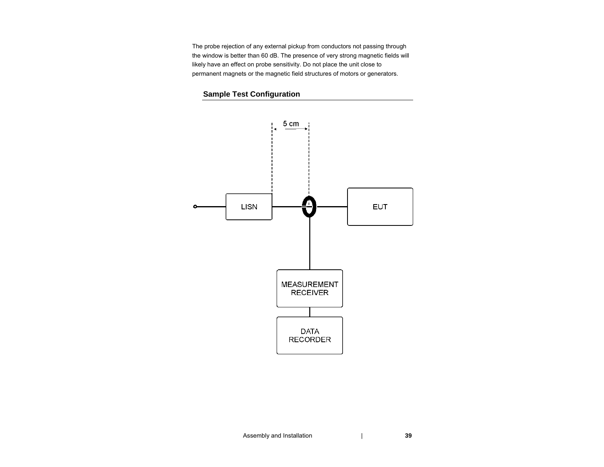The probe rejection of any external pickup from conductors not passing through the window is better than 60 dB. The presence of very strong magnetic fields will likely have an effect on probe sensitivity. Do not place the unit close to permanent magnets or the magnetic field structures of motors or generators.

## **Sample Test Configuration**

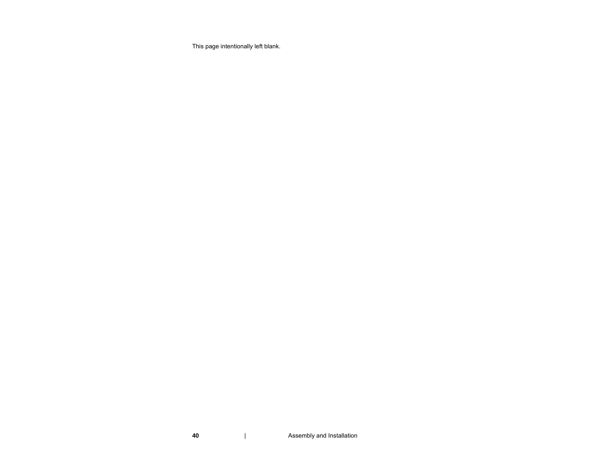This page intentionally left blank.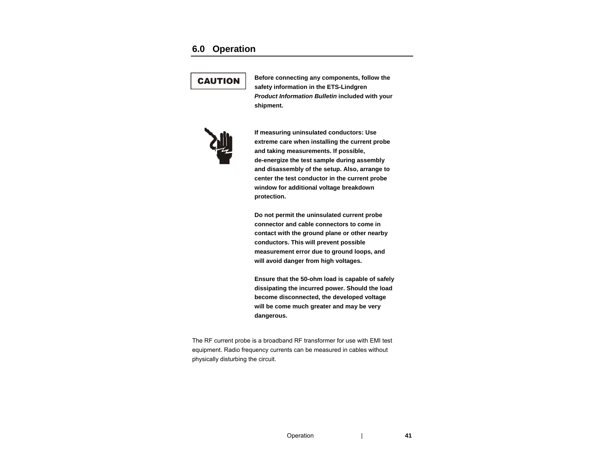## **6.0 Operation**

## **CAUTION**

**Before connecting any components, follow the safety information in the ETS-Lindgren**  *Product Information Bulletin* **included with your shipment.** 

![](_page_40_Picture_3.jpeg)

**If measuring uninsulated conductors: Use extreme care when installing the current probe and taking measurements. If possible, de-energize the test sample during assembly and disassembly of the setup. Also, arrange to center the test conductor in the current probe window for additional voltage breakdown protection.** 

**Do not permit the uninsulated current probe connector and cable connectors to come in contact with the ground plane or other nearby conductors. This will prevent possible measurement error due to ground loops, and will avoid danger from high voltages.** 

**Ensure that the 50-ohm load is capable of safely dissipating the incurred power. Should the load become disconnected, the developed voltage will be come much greater and may be very dangerous.** 

The RF current probe is a broadband RF transformer for use with EMI test equipment. Radio frequency currents can be measured in cables without physically disturbing the circuit.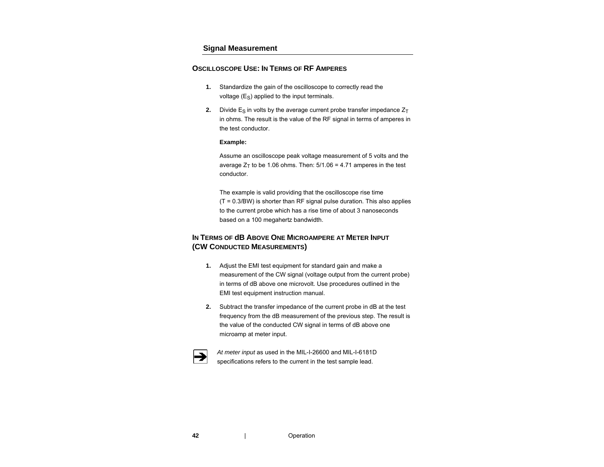#### **Signal Measurement**

#### **OSCILLOSCOPE USE: IN TERMS OF RF AMPERES**

- **1.** Standardize the gain of the oscilloscope to correctly read the voltage  $(E_S)$  applied to the input terminals.
- **2.** Divide  $E_S$  in volts by the average current probe transfer impedance  $Z_T$ in ohms. The result is the value of the RF signal in terms of amperes in the test conductor.

#### **Example:**

Assume an oscilloscope peak voltage measurement of 5 volts and the average  $Z_T$  to be 1.06 ohms. Then:  $5/1.06 = 4.71$  amperes in the test conductor.

The example is valid providing that the oscilloscope rise time  $(T = 0.3/BW)$  is shorter than RF signal pulse duration. This also applies to the current probe which has a rise time of about 3 nanoseconds based on a 100 megahertz bandwidth.

#### **IN TERMS OF dB ABOVE ONE MICROAMPERE AT METER INPUT (CW CONDUCTED MEASUREMENTS)**

- **1.** Adjust the EMI test equipment for standard gain and make a measurement of the CW signal (voltage output from the current probe) in terms of dB above one microvolt. Use procedures outlined in the EMI test equipment instruction manual.
- **2.** Subtract the transfer impedance of the current probe in dB at the test frequency from the dB measurement of the previous step. The result is the value of the conducted CW signal in terms of dB above one microamp at meter input.

![](_page_41_Picture_10.jpeg)

*At meter input* as used in the MIL-I-26600 and MIL-I-6181D specifications refers to the current in the test sample lead.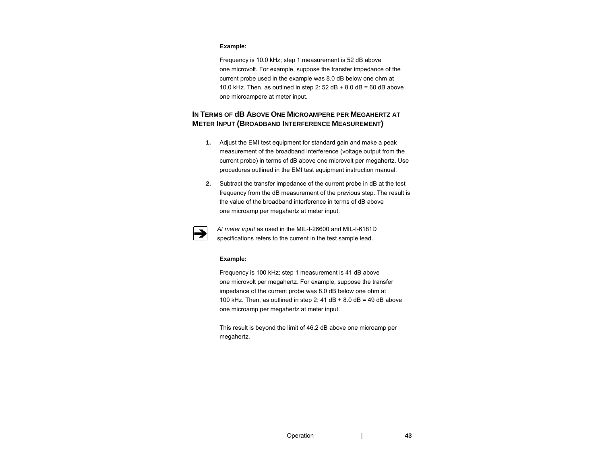#### **Example:**

Frequency is 10.0 kHz; step 1 measurement is 52 dB above one microvolt. For example, suppose the transfer impedance of the current probe used in the example was 8.0 dB below one ohm at 10.0 kHz. Then, as outlined in step 2:  $52$  dB + 8.0 dB = 60 dB above one microampere at meter input.

#### **IN TERMS OF dB ABOVE ONE MICROAMPERE PER MEGAHERTZ AT METER INPUT (BROADBAND INTERFERENCE MEASUREMENT)**

- **1.** Adjust the EMI test equipment for standard gain and make a peak measurement of the broadband interference (voltage output from the current probe) in terms of dB above one microvolt per megahertz. Use procedures outlined in the EMI test equipment instruction manual.
- **2.** Subtract the transfer impedance of the current probe in dB at the test frequency from the dB measurement of the previous step. The result is the value of the broadband interference in terms of dB above one microamp per megahertz at meter input.

![](_page_42_Picture_5.jpeg)

*At meter input* as used in the MIL-I-26600 and MIL-I-6181D specifications refers to the current in the test sample lead.

#### **Example:**

Frequency is 100 kHz; step 1 measurement is 41 dB above one microvolt per megahertz. For example, suppose the transfer impedance of the current probe was 8.0 dB below one ohm at 100 kHz. Then, as outlined in step 2: 41 dB + 8.0 dB = 49 dB above one microamp per megahertz at meter input.

This result is beyond the limit of 46.2 dB above one microamp per megahertz.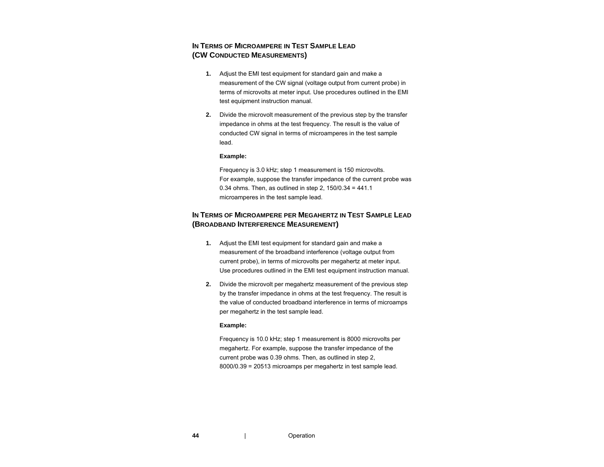#### **IN TERMS OF MICROAMPERE IN TEST SAMPLE LEAD (CW CONDUCTED MEASUREMENTS)**

- **1.** Adjust the EMI test equipment for standard gain and make a measurement of the CW signal (voltage output from current probe) in terms of microvolts at meter input. Use procedures outlined in the EMI test equipment instruction manual.
- **2.** Divide the microvolt measurement of the previous step by the transfer impedance in ohms at the test frequency. The result is the value of conducted CW signal in terms of microamperes in the test sample lead.

#### **Example:**

Frequency is 3.0 kHz; step 1 measurement is 150 microvolts. For example, suppose the transfer impedance of the current probe was 0.34 ohms. Then, as outlined in step 2, 150/0.34 = 441.1 microamperes in the test sample lead.

#### **IN TERMS OF MICROAMPERE PER MEGAHERTZ IN TEST SAMPLE LEAD (BROADBAND INTERFERENCE MEASUREMENT)**

- **1.** Adjust the EMI test equipment for standard gain and make a measurement of the broadband interference (voltage output from current probe), in terms of microvolts per megahertz at meter input. Use procedures outlined in the EMI test equipment instruction manual.
- **2.** Divide the microvolt per megahertz measurement of the previous step by the transfer impedance in ohms at the test frequency. The result is the value of conducted broadband interference in terms of microamps per megahertz in the test sample lead.

#### **Example:**

Frequency is 10.0 kHz; step 1 measurement is 8000 microvolts per megahertz. For example, suppose the transfer impedance of the current probe was 0.39 ohms. Then, as outlined in step 2, 8000/0.39 = 20513 microamps per megahertz in test sample lead.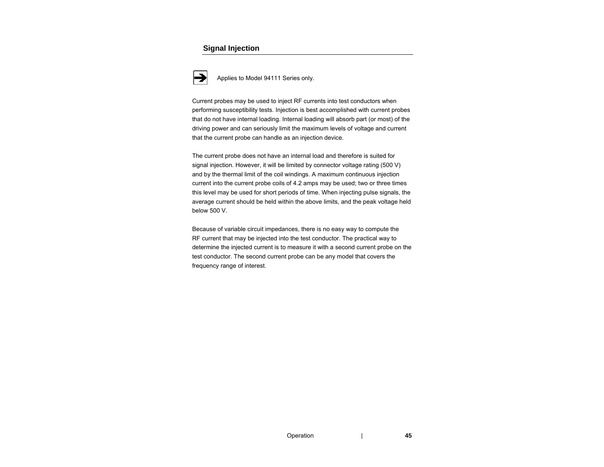#### **Signal Injection**

![](_page_44_Picture_1.jpeg)

Applies to Model 94111 Series only.

Current probes may be used to inject RF currents into test conductors when performing susceptibility tests. Injection is best accomplished with current probes that do not have internal loading. Internal loading will absorb part (or most) of the driving power and can seriously limit the maximum levels of voltage and current that the current probe can handle as an injection device.

The current probe does not have an internal load and therefore is suited for signal injection. However, it will be limited by connector voltage rating (500 V) and by the thermal limit of the coil windings. A maximum continuous injection current into the current probe coils of 4.2 amps may be used; two or three times this level may be used for short periods of time. When injecting pulse signals, the average current should be held within the above limits, and the peak voltage held below 500 V.

Because of variable circuit impedances, there is no easy way to compute the RF current that may be injected into the test conductor. The practical way to determine the injected current is to measure it with a second current probe on the test conductor. The second current probe can be any model that covers the frequency range of interest.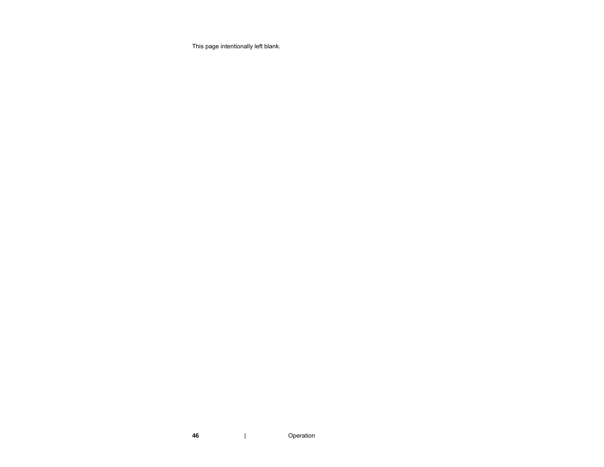This page intentionally left blank.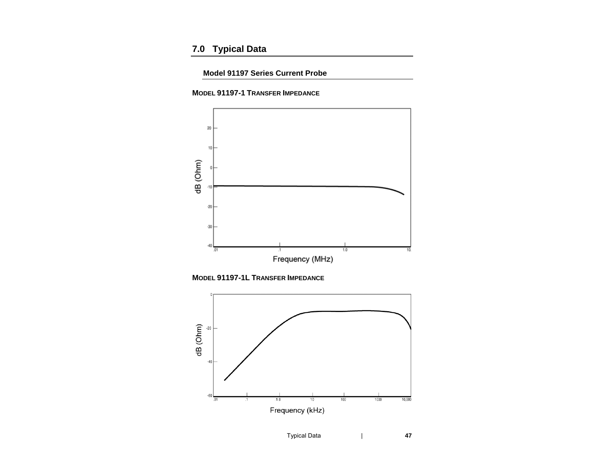## **7.0 Typical Data**

**Model 91197 Series Current Probe** 

![](_page_46_Figure_2.jpeg)

![](_page_46_Figure_3.jpeg)

**MODEL 91197-1L TRANSFER IMPEDANCE**

![](_page_46_Figure_5.jpeg)

Typical Data | **47**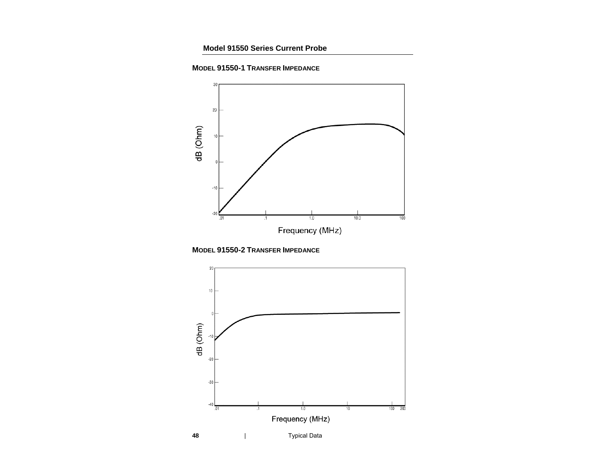#### **Model 91550 Series Current Probe**

**MODEL 91550-1 TRANSFER IMPEDANCE**

![](_page_47_Figure_2.jpeg)

**MODEL 91550-2 TRANSFER IMPEDANCE**

![](_page_47_Figure_4.jpeg)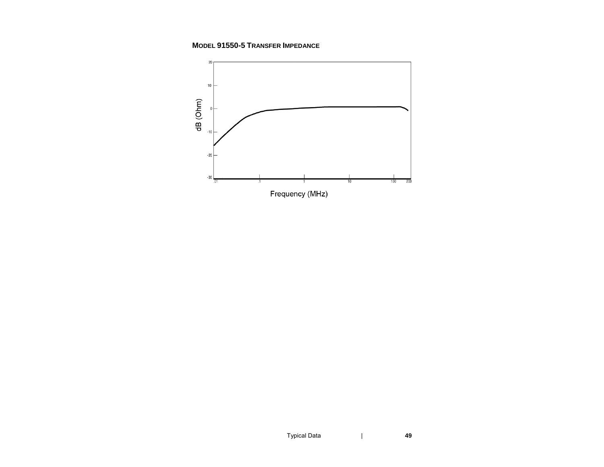#### **MODEL 91550-5 TRANSFER IMPEDANCE**

![](_page_48_Figure_1.jpeg)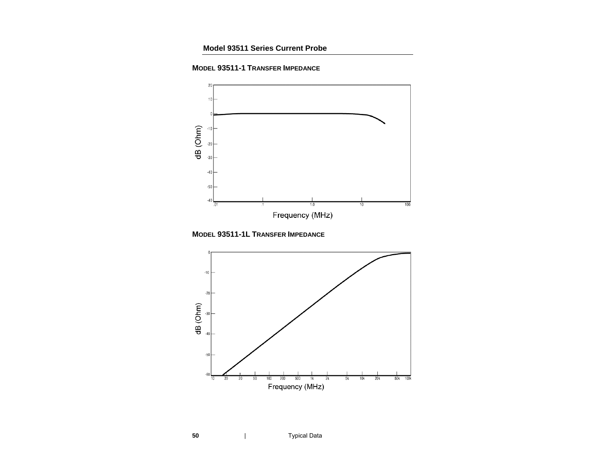#### **Model 93511 Series Current Probe**

![](_page_49_Figure_1.jpeg)

![](_page_49_Figure_2.jpeg)

**MODEL 93511-1L TRANSFER IMPEDANCE**

![](_page_49_Figure_4.jpeg)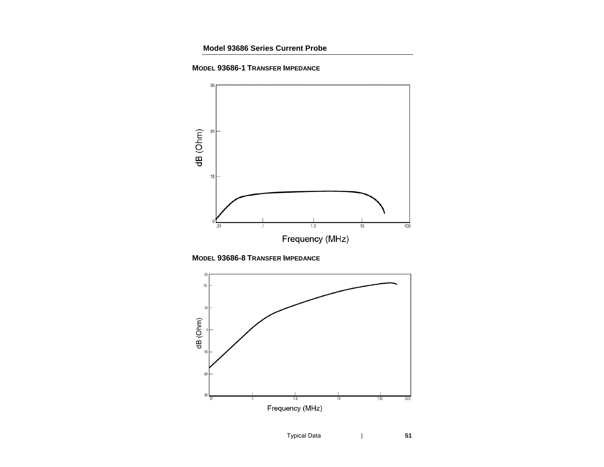#### **Model 93686 Series Current Probe**

![](_page_50_Figure_1.jpeg)

![](_page_50_Figure_2.jpeg)

**MODEL 93686-8 TRANSFER IMPEDANCE**

![](_page_50_Figure_4.jpeg)

Typical Data | **51**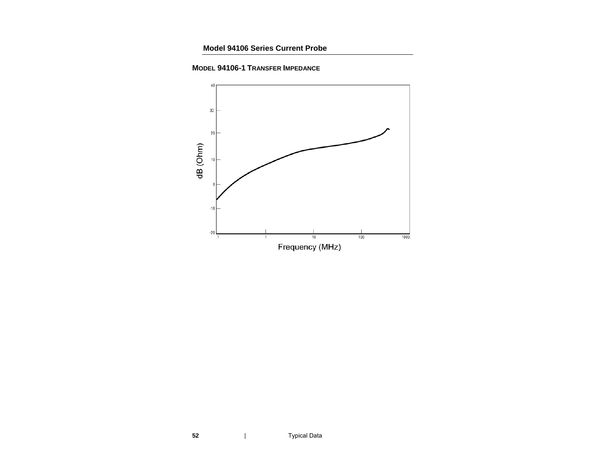#### **Model 94106 Series Current Probe**

**MODEL 94106-1 TRANSFER IMPEDANCE**

![](_page_51_Figure_2.jpeg)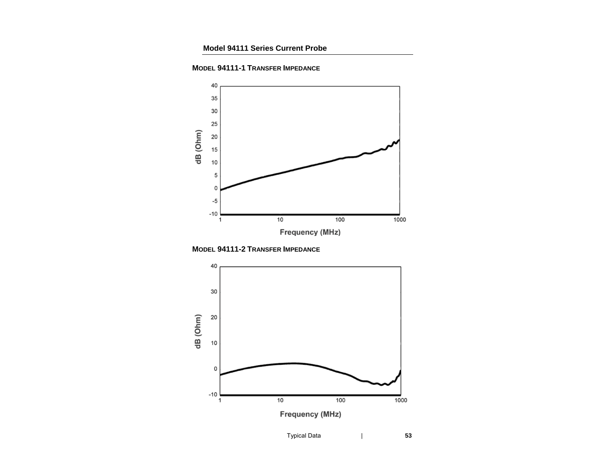#### **Model 94111 Series Current Probe**

![](_page_52_Figure_1.jpeg)

![](_page_52_Figure_2.jpeg)

**MODEL 94111-2 TRANSFER IMPEDANCE**

![](_page_52_Figure_4.jpeg)

Typical Data | **53**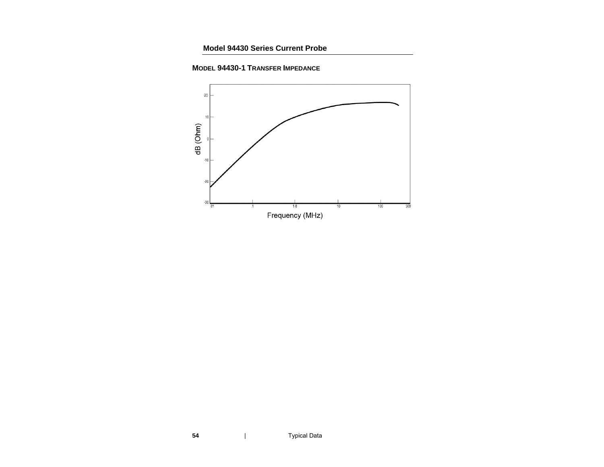#### **Model 94430 Series Current Probe**

![](_page_53_Figure_1.jpeg)

![](_page_53_Figure_2.jpeg)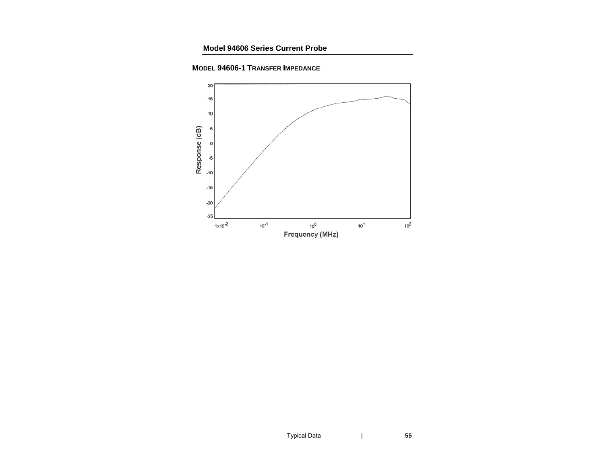#### **Model 94606 Series Current Probe**

![](_page_54_Figure_1.jpeg)

![](_page_54_Figure_2.jpeg)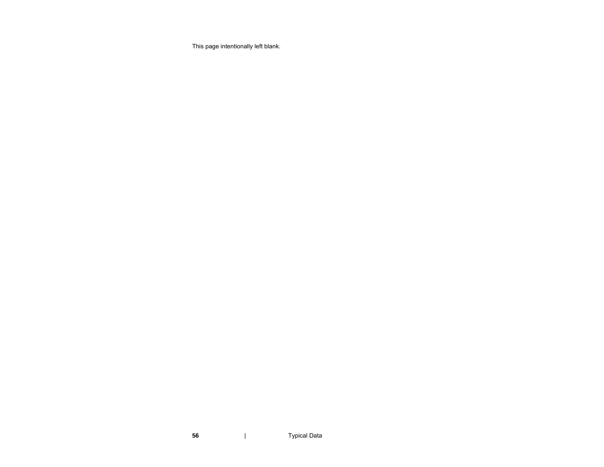This page intentionally left blank.